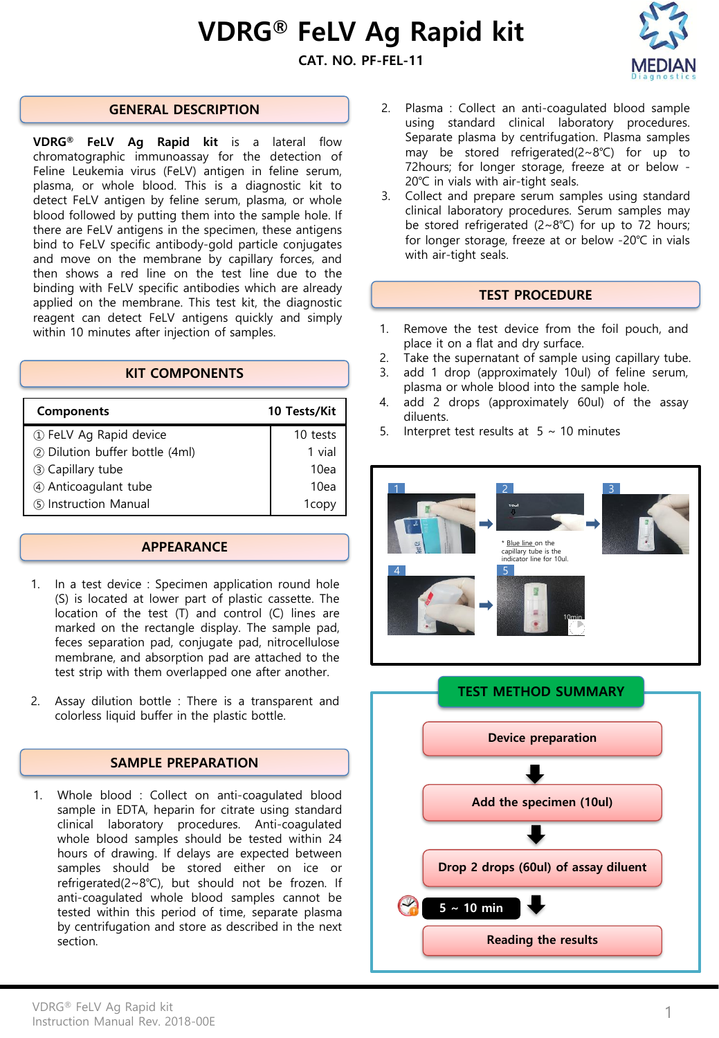# VDRG® FeLV Ag Rapid kit

# CAT. NO. PF-FEL-11



# GENERAL DESCRIPTION

VDRG® FeLV Ag Rapid kit is a lateral flow chromatographic immunoassay for the detection of Feline Leukemia virus (FeLV) antigen in feline serum, plasma, or whole blood. This is a diagnostic kit to detect FeLV antigen by feline serum, plasma, or whole blood followed by putting them into the sample hole. If there are FeLV antigens in the specimen, these antigens bind to FeLV specific antibody-gold particle conjugates and move on the membrane by capillary forces, and then shows a red line on the test line due to the binding with FeLV specific antibodies which are already applied on the membrane. This test kit, the diagnostic reagent can detect FeLV antigens quickly and simply within 10 minutes after injection of samples.

# KIT COMPONENTS

| <b>Components</b>              | 10 Tests/Kit |
|--------------------------------|--------------|
| 1 FeLV Ag Rapid device         | 10 tests     |
| 2 Dilution buffer bottle (4ml) | 1 vial       |
| 3 Capillary tube               | 10ea         |
| 4) Anticoagulant tube          | 10ea         |
| (5) Instruction Manual         | 1copv        |

# APPEARANCE

- 1. In a test device : Specimen application round hole (S) is located at lower part of plastic cassette. The location of the test (T) and control (C) lines are marked on the rectangle display. The sample pad, feces separation pad, conjugate pad, nitrocellulose membrane, and absorption pad are attached to the test strip with them overlapped one after another.
- 2. Assay dilution bottle : There is a transparent and colorless liquid buffer in the plastic bottle.

# SAMPLE PREPARATION

1. Whole blood : Collect on anti-coagulated blood sample in EDTA, heparin for citrate using standard clinical laboratory procedures. Anti-coagulated whole blood samples should be tested within 24 hours of drawing. If delays are expected between samples should be stored either on ice or refrigerated(2~8℃), but should not be frozen. If anti-coagulated whole blood samples cannot be tested within this period of time, separate plasma by centrifugation and store as described in the next section.

- 2. Plasma : Collect an anti-coagulated blood sample using standard clinical laboratory procedures. Separate plasma by centrifugation. Plasma samples may be stored refrigerated(2~8℃) for up to 72hours; for longer storage, freeze at or below - 20℃ in vials with air-tight seals.
- 3. Collect and prepare serum samples using standard clinical laboratory procedures. Serum samples may be stored refrigerated (2~8℃) for up to 72 hours; for longer storage, freeze at or below -20℃ in vials with air-tight seals.

#### TEST PROCEDURE

- 1. Remove the test device from the foil pouch, and place it on a flat and dry surface.
- 2. Take the supernatant of sample using capillary tube.
- 3. add 1 drop (approximately 10ul) of feline serum, plasma or whole blood into the sample hole.
- 4. add 2 drops (approximately 60ul) of the assay diluents.
- 5. Interpret test results at  $5 \sim 10$  minutes